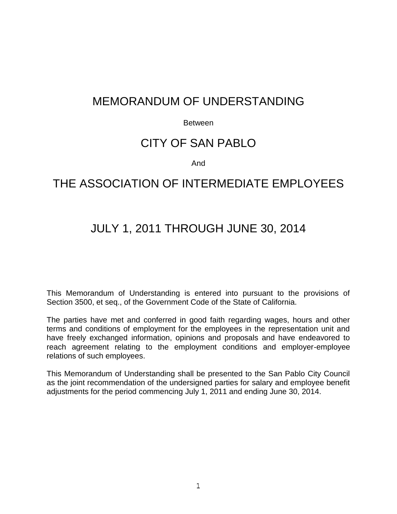# MEMORANDUM OF UNDERSTANDING

#### Between

# CITY OF SAN PABLO

#### And

# THE ASSOCIATION OF INTERMEDIATE FMPI OYFES

# JULY 1, 2011 THROUGH JUNE 30, 2014

This Memorandum of Understanding is entered into pursuant to the provisions of Section 3500, et seq., of the Government Code of the State of California.

The parties have met and conferred in good faith regarding wages, hours and other terms and conditions of employment for the employees in the representation unit and have freely exchanged information, opinions and proposals and have endeavored to reach agreement relating to the employment conditions and employer-employee relations of such employees.

This Memorandum of Understanding shall be presented to the San Pablo City Council as the joint recommendation of the undersigned parties for salary and employee benefit adjustments for the period commencing July 1, 2011 and ending June 30, 2014.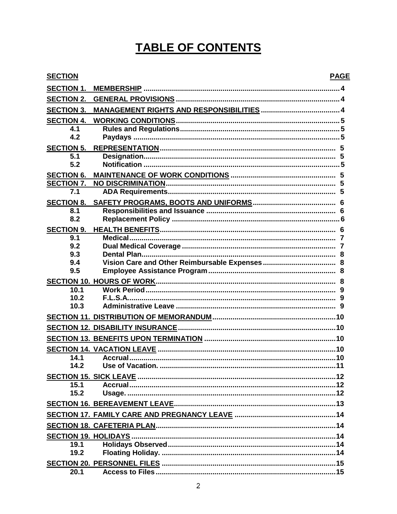# TABLE OF CONTENTS

| <b>SECTION</b>           | <b>PAGE</b> |
|--------------------------|-------------|
| <b>SECTION 1.</b>        |             |
| <b>SECTION 2.</b>        |             |
| <b>SECTION 3.</b>        |             |
| <b>SECTION 4.</b>        |             |
| 4.1<br>4.2               |             |
| <b>SECTION 5.</b>        |             |
| 5.1<br>5.2               |             |
| <b>SECTION 6.</b>        |             |
| <b>SECTION 7.</b>        |             |
| 7.1                      |             |
| <b>SECTION 8.</b>        |             |
| 8.1<br>8.2               |             |
|                          |             |
| <b>SECTION 9.</b><br>9.1 |             |
| 9.2                      |             |
| 9.3                      |             |
| 9.4                      |             |
| 9.5                      |             |
|                          |             |
| 10.1                     |             |
| 10.2                     |             |
| 10.3                     |             |
|                          |             |
|                          |             |
|                          |             |
|                          |             |
| 14.1                     |             |
| 14.2                     |             |
|                          |             |
| 15.1                     |             |
| 15.2                     |             |
|                          |             |
|                          |             |
|                          |             |
|                          |             |
| 19.1                     |             |
| 19.2                     |             |
|                          |             |
| 20.1                     |             |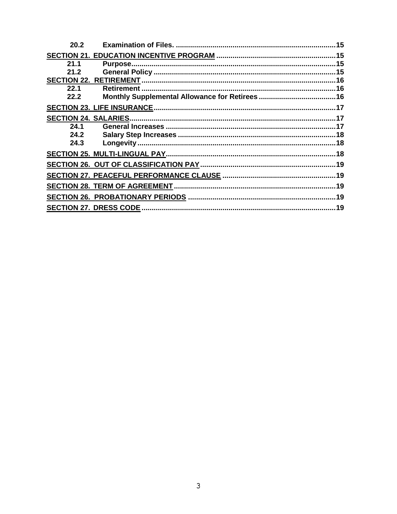| 20.2 |         | .15 |
|------|---------|-----|
|      |         |     |
| 21.1 | Purpose |     |
| 21.2 |         |     |
|      |         |     |
| 22.1 |         |     |
| 22.2 |         |     |
|      |         |     |
|      |         |     |
| 24.1 |         |     |
| 24.2 |         |     |
| 24.3 |         |     |
|      |         |     |
|      |         |     |
|      |         |     |
|      |         |     |
|      |         |     |
|      |         |     |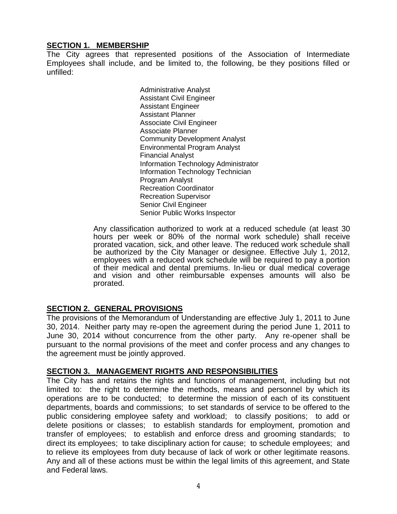## **SECTION 1. MEMBERSHIP**

The City agrees that represented positions of the Association of Intermediate Employees shall include, and be limited to, the following, be they positions filled or unfilled:

> Administrative Analyst Assistant Civil Engineer Assistant Engineer Assistant Planner Associate Civil Engineer Associate Planner Community Development Analyst Environmental Program Analyst Financial Analyst Information Technology Administrator Information Technology Technician Program Analyst Recreation Coordinator Recreation Supervisor Senior Civil Engineer Senior Public Works Inspector

Any classification authorized to work at a reduced schedule (at least 30 hours per week or 80% of the normal work schedule) shall receive prorated vacation, sick, and other leave. The reduced work schedule shall be authorized by the City Manager or designee. Effective July 1, 2012, employees with a reduced work schedule will be required to pay a portion of their medical and dental premiums. In-lieu or dual medical coverage and vision and other reimbursable expenses amounts will also be prorated.

# **SECTION 2. GENERAL PROVISIONS**

The provisions of the Memorandum of Understanding are effective July 1, 2011 to June 30, 2014. Neither party may re-open the agreement during the period June 1, 2011 to June 30, 2014 without concurrence from the other party. Any re-opener shall be pursuant to the normal provisions of the meet and confer process and any changes to the agreement must be jointly approved.

#### **SECTION 3. MANAGEMENT RIGHTS AND RESPONSIBILITIES**

The City has and retains the rights and functions of management, including but not limited to: the right to determine the methods, means and personnel by which its operations are to be conducted; to determine the mission of each of its constituent departments, boards and commissions; to set standards of service to be offered to the public considering employee safety and workload; to classify positions; to add or delete positions or classes; to establish standards for employment, promotion and transfer of employees; to establish and enforce dress and grooming standards; to direct its employees; to take disciplinary action for cause; to schedule employees; and to relieve its employees from duty because of lack of work or other legitimate reasons. Any and all of these actions must be within the legal limits of this agreement, and State and Federal laws.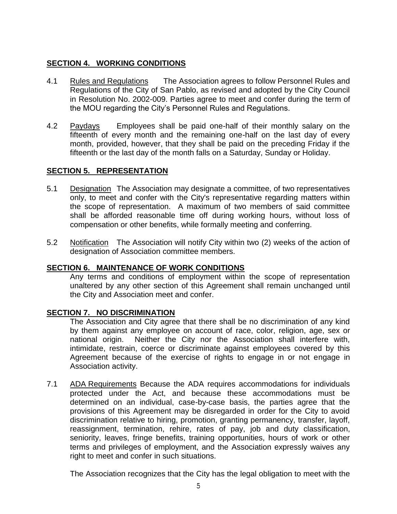# **SECTION 4. WORKING CONDITIONS**

- 4.1 Rules and Regulations The Association agrees to follow Personnel Rules and Regulations of the City of San Pablo, as revised and adopted by the City Council in Resolution No. 2002-009. Parties agree to meet and confer during the term of the MOU regarding the City's Personnel Rules and Regulations.
- 4.2 Paydays Employees shall be paid one-half of their monthly salary on the fifteenth of every month and the remaining one-half on the last day of every month, provided, however, that they shall be paid on the preceding Friday if the fifteenth or the last day of the month falls on a Saturday, Sunday or Holiday.

# **SECTION 5. REPRESENTATION**

- 5.1 Designation The Association may designate a committee, of two representatives only, to meet and confer with the City's representative regarding matters within the scope of representation. A maximum of two members of said committee shall be afforded reasonable time off during working hours, without loss of compensation or other benefits, while formally meeting and conferring.
- 5.2 Notification The Association will notify City within two (2) weeks of the action of designation of Association committee members.

# **SECTION 6. MAINTENANCE OF WORK CONDITIONS**

Any terms and conditions of employment within the scope of representation unaltered by any other section of this Agreement shall remain unchanged until the City and Association meet and confer.

# **SECTION 7. NO DISCRIMINATION**

The Association and City agree that there shall be no discrimination of any kind by them against any employee on account of race, color, religion, age, sex or national origin. Neither the City nor the Association shall interfere with, intimidate, restrain, coerce or discriminate against employees covered by this Agreement because of the exercise of rights to engage in or not engage in Association activity.

7.1 ADA Requirements Because the ADA requires accommodations for individuals protected under the Act, and because these accommodations must be determined on an individual, case-by-case basis, the parties agree that the provisions of this Agreement may be disregarded in order for the City to avoid discrimination relative to hiring, promotion, granting permanency, transfer, layoff, reassignment, termination, rehire, rates of pay, job and duty classification, seniority, leaves, fringe benefits, training opportunities, hours of work or other terms and privileges of employment, and the Association expressly waives any right to meet and confer in such situations.

The Association recognizes that the City has the legal obligation to meet with the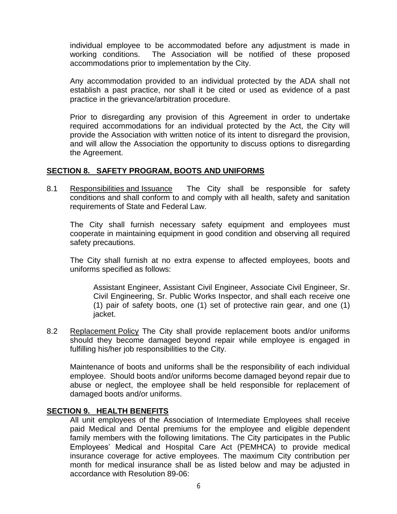individual employee to be accommodated before any adjustment is made in working conditions. The Association will be notified of these proposed accommodations prior to implementation by the City.

Any accommodation provided to an individual protected by the ADA shall not establish a past practice, nor shall it be cited or used as evidence of a past practice in the grievance/arbitration procedure.

Prior to disregarding any provision of this Agreement in order to undertake required accommodations for an individual protected by the Act, the City will provide the Association with written notice of its intent to disregard the provision, and will allow the Association the opportunity to discuss options to disregarding the Agreement.

# **SECTION 8. SAFETY PROGRAM, BOOTS AND UNIFORMS**

8.1 Responsibilities and Issuance The City shall be responsible for safety conditions and shall conform to and comply with all health, safety and sanitation requirements of State and Federal Law.

The City shall furnish necessary safety equipment and employees must cooperate in maintaining equipment in good condition and observing all required safety precautions.

The City shall furnish at no extra expense to affected employees, boots and uniforms specified as follows:

Assistant Engineer, Assistant Civil Engineer, Associate Civil Engineer, Sr. Civil Engineering, Sr. Public Works Inspector, and shall each receive one (1) pair of safety boots, one (1) set of protective rain gear, and one (1) jacket.

8.2 Replacement Policy The City shall provide replacement boots and/or uniforms should they become damaged beyond repair while employee is engaged in fulfilling his/her job responsibilities to the City.

Maintenance of boots and uniforms shall be the responsibility of each individual employee. Should boots and/or uniforms become damaged beyond repair due to abuse or neglect, the employee shall be held responsible for replacement of damaged boots and/or uniforms.

#### **SECTION 9. HEALTH BENEFITS**

All unit employees of the Association of Intermediate Employees shall receive paid Medical and Dental premiums for the employee and eligible dependent family members with the following limitations. The City participates in the Public Employees' Medical and Hospital Care Act (PEMHCA) to provide medical insurance coverage for active employees. The maximum City contribution per month for medical insurance shall be as listed below and may be adjusted in accordance with Resolution 89-06: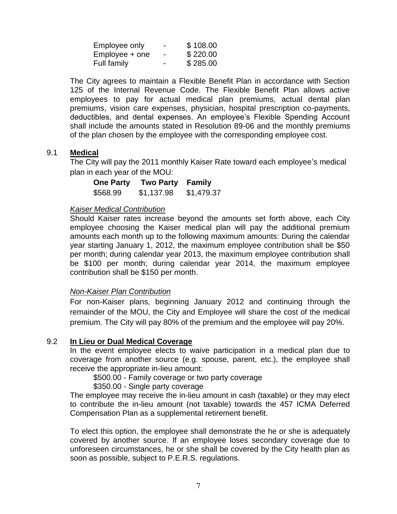| Employee only    | - | \$108.00 |
|------------------|---|----------|
| $Employee + one$ | - | \$220.00 |
| Full family      | - | \$285.00 |

The City agrees to maintain a Flexible Benefit Plan in accordance with Section 125 of the Internal Revenue Code. The Flexible Benefit Plan allows active employees to pay for actual medical plan premiums, actual dental plan premiums, vision care expenses, physician, hospital prescription co-payments, deductibles, and dental expenses. An employee's Flexible Spending Account shall include the amounts stated in Resolution 89-06 and the monthly premiums of the plan chosen by the employee with the corresponding employee cost.

## 9.1 **Medical**

The City will pay the 2011 monthly Kaiser Rate toward each employee's medical plan in each year of the MOU:

| <b>One Party</b> | <b>Two Party</b> | <b>Family</b> |
|------------------|------------------|---------------|
| \$568.99         | \$1,137.98       | \$1,479.37    |

#### *Kaiser Medical Contribution*

Should Kaiser rates increase beyond the amounts set forth above, each City employee choosing the Kaiser medical plan will pay the additional premium amounts each month up to the following maximum amounts: During the calendar year starting January 1, 2012, the maximum employee contribution shall be \$50 per month; during calendar year 2013, the maximum employee contribution shall be \$100 per month; during calendar year 2014, the maximum employee contribution shall be \$150 per month.

# *Non-Kaiser Plan Contribution*

For non-Kaiser plans, beginning January 2012 and continuing through the remainder of the MOU, the City and Employee will share the cost of the medical premium. The City will pay 80% of the premium and the employee will pay 20%.

# 9.2 **In Lieu or Dual Medical Coverage**

In the event employee elects to waive participation in a medical plan due to coverage from another source (e.g. spouse, parent, etc.), the employee shall receive the appropriate in-lieu amount:

\$500.00 - Family coverage or two party coverage

#### \$350.00 - Single party coverage

The employee may receive the in-lieu amount in cash (taxable) or they may elect to contribute the in-lieu amount (not taxable) towards the 457 ICMA Deferred Compensation Plan as a supplemental retirement benefit.

To elect this option, the employee shall demonstrate the he or she is adequately covered by another source. If an employee loses secondary coverage due to unforeseen circumstances, he or she shall be covered by the City health plan as soon as possible, subject to P.E.R.S. regulations.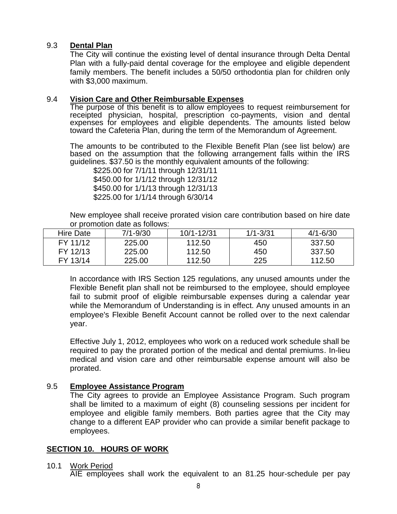## 9.3 **Dental Plan**

The City will continue the existing level of dental insurance through Delta Dental Plan with a fully-paid dental coverage for the employee and eligible dependent family members. The benefit includes a 50/50 orthodontia plan for children only with \$3,000 maximum.

### 9.4 **Vision Care and Other Reimbursable Expenses**

The purpose of this benefit is to allow employees to request reimbursement for receipted physician, hospital, prescription co-payments, vision and dental expenses for employees and eligible dependents. The amounts listed below toward the Cafeteria Plan, during the term of the Memorandum of Agreement.

The amounts to be contributed to the Flexible Benefit Plan (see list below) are based on the assumption that the following arrangement falls within the IRS guidelines. \$37.50 is the monthly equivalent amounts of the following:

\$225.00 for 7/1/11 through 12/31/11 \$450.00 for 1/1/12 through 12/31/12 \$450.00 for 1/1/13 through 12/31/13 \$225.00 for 1/1/14 through 6/30/14

New employee shall receive prorated vision care contribution based on hire date or promotion date as follows:

| <b>Hire Date</b> | $7/1 - 9/30$ | $10/1 - 12/31$ | $1/1 - 3/31$ | $4/1 - 6/30$ |
|------------------|--------------|----------------|--------------|--------------|
| FY 11/12         | 225.00       | 112.50         | 450          | 337.50       |
| FY 12/13         | 225.00       | 112.50         | 450          | 337.50       |
| FY 13/14         | 225.00       | 112.50         | 225          | 112.50       |

In accordance with IRS Section 125 regulations, any unused amounts under the Flexible Benefit plan shall not be reimbursed to the employee, should employee fail to submit proof of eligible reimbursable expenses during a calendar year while the Memorandum of Understanding is in effect. Any unused amounts in an employee's Flexible Benefit Account cannot be rolled over to the next calendar year.

Effective July 1, 2012, employees who work on a reduced work schedule shall be required to pay the prorated portion of the medical and dental premiums. In-lieu medical and vision care and other reimbursable expense amount will also be prorated.

#### 9.5 **Employee Assistance Program**

The City agrees to provide an Employee Assistance Program. Such program shall be limited to a maximum of eight (8) counseling sessions per incident for employee and eligible family members. Both parties agree that the City may change to a different EAP provider who can provide a similar benefit package to employees.

#### **SECTION 10. HOURS OF WORK**

#### 10.1 Work Period

AIE employees shall work the equivalent to an 81.25 hour-schedule per pay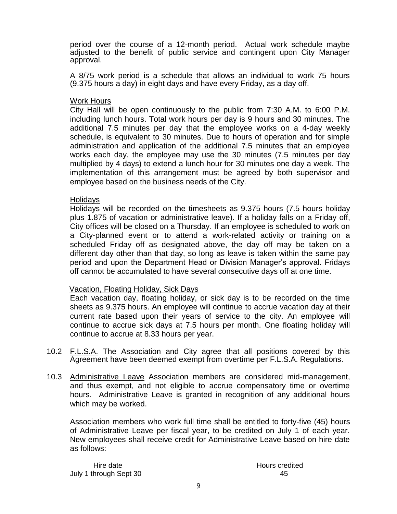period over the course of a 12-month period. Actual work schedule maybe adjusted to the benefit of public service and contingent upon City Manager approval.

A 8/75 work period is a schedule that allows an individual to work 75 hours (9.375 hours a day) in eight days and have every Friday, as a day off.

#### Work Hours

City Hall will be open continuously to the public from 7:30 A.M. to 6:00 P.M. including lunch hours. Total work hours per day is 9 hours and 30 minutes. The additional 7.5 minutes per day that the employee works on a 4-day weekly schedule, is equivalent to 30 minutes. Due to hours of operation and for simple administration and application of the additional 7.5 minutes that an employee works each day, the employee may use the 30 minutes (7.5 minutes per day multiplied by 4 days) to extend a lunch hour for 30 minutes one day a week. The implementation of this arrangement must be agreed by both supervisor and employee based on the business needs of the City.

#### **Holidays**

Holidays will be recorded on the timesheets as 9.375 hours (7.5 hours holiday plus 1.875 of vacation or administrative leave). If a holiday falls on a Friday off, City offices will be closed on a Thursday. If an employee is scheduled to work on a City-planned event or to attend a work-related activity or training on a scheduled Friday off as designated above, the day off may be taken on a different day other than that day, so long as leave is taken within the same pay period and upon the Department Head or Division Manager's approval. Fridays off cannot be accumulated to have several consecutive days off at one time.

#### Vacation, Floating Holiday, Sick Days

Each vacation day, floating holiday, or sick day is to be recorded on the time sheets as 9.375 hours. An employee will continue to accrue vacation day at their current rate based upon their years of service to the city. An employee will continue to accrue sick days at 7.5 hours per month. One floating holiday will continue to accrue at 8.33 hours per year.

- 10.2 F.L.S.A. The Association and City agree that all positions covered by this Agreement have been deemed exempt from overtime per F.L.S.A. Regulations.
- 10.3 Administrative Leave Association members are considered mid-management, and thus exempt, and not eligible to accrue compensatory time or overtime hours. Administrative Leave is granted in recognition of any additional hours which may be worked.

Association members who work full time shall be entitled to forty-five (45) hours of Administrative Leave per fiscal year, to be credited on July 1 of each year. New employees shall receive credit for Administrative Leave based on hire date as follows:

Hire date **Hours** credited July 1 through Sept 30 45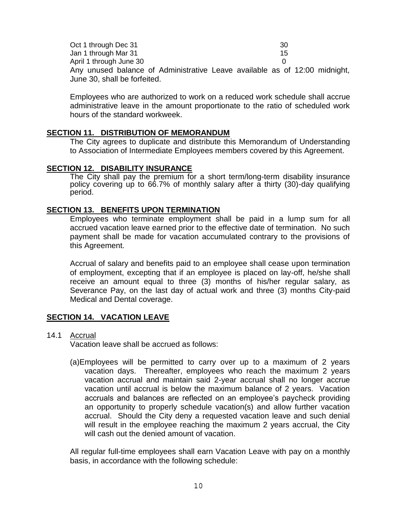| Oct 1 through Dec 31         | -30                                                                        |
|------------------------------|----------------------------------------------------------------------------|
| Jan 1 through Mar 31         | 15                                                                         |
| April 1 through June 30      |                                                                            |
|                              | Any unused balance of Administrative Leave available as of 12:00 midnight, |
| June 30, shall be forfeited. |                                                                            |

Employees who are authorized to work on a reduced work schedule shall accrue administrative leave in the amount proportionate to the ratio of scheduled work hours of the standard workweek.

#### **SECTION 11. DISTRIBUTION OF MEMORANDUM**

The City agrees to duplicate and distribute this Memorandum of Understanding to Association of Intermediate Employees members covered by this Agreement.

#### **SECTION 12. DISABILITY INSURANCE**

The City shall pay the premium for a short term/long-term disability insurance policy covering up to 66.7% of monthly salary after a thirty (30)-day qualifying period.

#### **SECTION 13. BENEFITS UPON TERMINATION**

Employees who terminate employment shall be paid in a lump sum for all accrued vacation leave earned prior to the effective date of termination. No such payment shall be made for vacation accumulated contrary to the provisions of this Agreement.

Accrual of salary and benefits paid to an employee shall cease upon termination of employment, excepting that if an employee is placed on lay-off, he/she shall receive an amount equal to three (3) months of his/her regular salary, as Severance Pay, on the last day of actual work and three (3) months City-paid Medical and Dental coverage.

#### **SECTION 14. VACATION LEAVE**

#### 14.1 Accrual

Vacation leave shall be accrued as follows:

(a)Employees will be permitted to carry over up to a maximum of 2 years vacation days. Thereafter, employees who reach the maximum 2 years vacation accrual and maintain said 2-year accrual shall no longer accrue vacation until accrual is below the maximum balance of 2 years. Vacation accruals and balances are reflected on an employee's paycheck providing an opportunity to properly schedule vacation(s) and allow further vacation accrual. Should the City deny a requested vacation leave and such denial will result in the employee reaching the maximum 2 years accrual, the City will cash out the denied amount of vacation.

All regular full-time employees shall earn Vacation Leave with pay on a monthly basis, in accordance with the following schedule: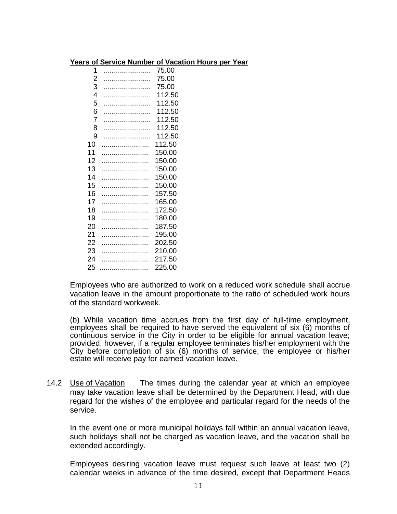#### **Years of Service Number of Vacation Hours per Year**

| 1              | 75.00  |
|----------------|--------|
| $\overline{2}$ | 75.00  |
| 3              | 75.00  |
| 4              | 112.50 |
| 5              | 112.50 |
| 6              | 112.50 |
| 7              | 112.50 |
| 8              | 112.50 |
| 9              | 112.50 |
| 10             | 112.50 |
| 11             | 150.00 |
| 12             | 150.00 |
| 13             | 150.00 |
| 14             | 150.00 |
| 15             | 150.00 |
| 16             | 157.50 |
| 17             | 165.00 |
| 18             | 172.50 |
| 19             | 180.00 |
| 20             | 187.50 |
| 21             | 195.00 |
| 22             | 202.50 |
| 23             | 210.00 |
| 24             | 217.50 |
| 25             | 225.00 |
|                |        |

Employees who are authorized to work on a reduced work schedule shall accrue vacation leave in the amount proportionate to the ratio of scheduled work hours of the standard workweek.

(b) While vacation time accrues from the first day of full-time employment, employees shall be required to have served the equivalent of six (6) months of continuous service in the City in order to be eligible for annual vacation leave; provided, however, if a regular employee terminates his/her employment with the City before completion of six (6) months of service, the employee or his/her estate will receive pay for earned vacation leave.

14.2 Use of Vacation The times during the calendar year at which an employee may take vacation leave shall be determined by the Department Head, with due regard for the wishes of the employee and particular regard for the needs of the service.

In the event one or more municipal holidays fall within an annual vacation leave, such holidays shall not be charged as vacation leave, and the vacation shall be extended accordingly.

Employees desiring vacation leave must request such leave at least two (2) calendar weeks in advance of the time desired, except that Department Heads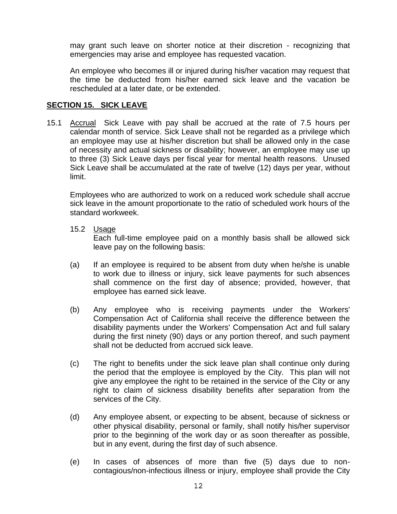may grant such leave on shorter notice at their discretion - recognizing that emergencies may arise and employee has requested vacation.

An employee who becomes ill or injured during his/her vacation may request that the time be deducted from his/her earned sick leave and the vacation be rescheduled at a later date, or be extended.

### **SECTION 15. SICK LEAVE**

15.1 Accrual Sick Leave with pay shall be accrued at the rate of 7.5 hours per calendar month of service. Sick Leave shall not be regarded as a privilege which an employee may use at his/her discretion but shall be allowed only in the case of necessity and actual sickness or disability; however, an employee may use up to three (3) Sick Leave days per fiscal year for mental health reasons. Unused Sick Leave shall be accumulated at the rate of twelve (12) days per year, without limit.

Employees who are authorized to work on a reduced work schedule shall accrue sick leave in the amount proportionate to the ratio of scheduled work hours of the standard workweek.

15.2 Usage

Each full-time employee paid on a monthly basis shall be allowed sick leave pay on the following basis:

- (a) If an employee is required to be absent from duty when he/she is unable to work due to illness or injury, sick leave payments for such absences shall commence on the first day of absence; provided, however, that employee has earned sick leave.
- (b) Any employee who is receiving payments under the Workers' Compensation Act of California shall receive the difference between the disability payments under the Workers' Compensation Act and full salary during the first ninety (90) days or any portion thereof, and such payment shall not be deducted from accrued sick leave.
- (c) The right to benefits under the sick leave plan shall continue only during the period that the employee is employed by the City. This plan will not give any employee the right to be retained in the service of the City or any right to claim of sickness disability benefits after separation from the services of the City.
- (d) Any employee absent, or expecting to be absent, because of sickness or other physical disability, personal or family, shall notify his/her supervisor prior to the beginning of the work day or as soon thereafter as possible, but in any event, during the first day of such absence.
- (e) In cases of absences of more than five (5) days due to noncontagious/non-infectious illness or injury, employee shall provide the City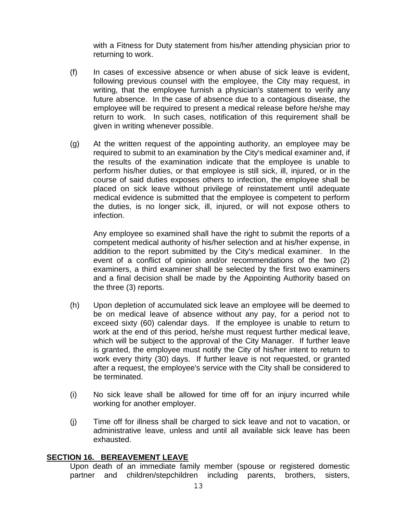with a Fitness for Duty statement from his/her attending physician prior to returning to work.

- (f) In cases of excessive absence or when abuse of sick leave is evident, following previous counsel with the employee, the City may request, in writing, that the employee furnish a physician's statement to verify any future absence. In the case of absence due to a contagious disease, the employee will be required to present a medical release before he/she may return to work. In such cases, notification of this requirement shall be given in writing whenever possible.
- (g) At the written request of the appointing authority, an employee may be required to submit to an examination by the City's medical examiner and, if the results of the examination indicate that the employee is unable to perform his/her duties, or that employee is still sick, ill, injured, or in the course of said duties exposes others to infection, the employee shall be placed on sick leave without privilege of reinstatement until adequate medical evidence is submitted that the employee is competent to perform the duties, is no longer sick, ill, injured, or will not expose others to infection.

Any employee so examined shall have the right to submit the reports of a competent medical authority of his/her selection and at his/her expense, in addition to the report submitted by the City's medical examiner. In the event of a conflict of opinion and/or recommendations of the two (2) examiners, a third examiner shall be selected by the first two examiners and a final decision shall be made by the Appointing Authority based on the three (3) reports.

- (h) Upon depletion of accumulated sick leave an employee will be deemed to be on medical leave of absence without any pay, for a period not to exceed sixty (60) calendar days. If the employee is unable to return to work at the end of this period, he/she must request further medical leave, which will be subject to the approval of the City Manager. If further leave is granted, the employee must notify the City of his/her intent to return to work every thirty (30) days. If further leave is not requested, or granted after a request, the employee's service with the City shall be considered to be terminated.
- (i) No sick leave shall be allowed for time off for an injury incurred while working for another employer.
- (j) Time off for illness shall be charged to sick leave and not to vacation, or administrative leave, unless and until all available sick leave has been exhausted.

#### **SECTION 16. BEREAVEMENT LEAVE**

Upon death of an immediate family member (spouse or registered domestic partner and children/stepchildren including parents, brothers, sisters,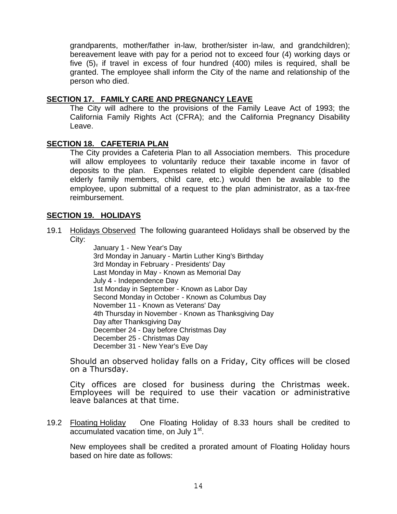grandparents, mother/father in-law, brother/sister in-law, and grandchildren); bereavement leave with pay for a period not to exceed four (4) working days or five (5), if travel in excess of four hundred (400) miles is required, shall be granted. The employee shall inform the City of the name and relationship of the person who died.

### **SECTION 17. FAMILY CARE AND PREGNANCY LEAVE**

The City will adhere to the provisions of the Family Leave Act of 1993; the California Family Rights Act (CFRA); and the California Pregnancy Disability Leave.

## **SECTION 18. CAFETERIA PLAN**

The City provides a Cafeteria Plan to all Association members. This procedure will allow employees to voluntarily reduce their taxable income in favor of deposits to the plan. Expenses related to eligible dependent care (disabled elderly family members, child care, etc.) would then be available to the employee, upon submittal of a request to the plan administrator, as a tax-free reimbursement.

## **SECTION 19. HOLIDAYS**

19.1 Holidays Observed The following guaranteed Holidays shall be observed by the City:

January 1 - New Year's Day 3rd Monday in January - Martin Luther King's Birthday 3rd Monday in February - Presidents' Day Last Monday in May - Known as Memorial Day July 4 - Independence Day 1st Monday in September - Known as Labor Day Second Monday in October - Known as Columbus Day November 11 - Known as Veterans' Day 4th Thursday in November - Known as Thanksgiving Day Day after Thanksgiving Day December 24 - Day before Christmas Day December 25 - Christmas Day December 31 - New Year's Eve Day

Should an observed holiday falls on a Friday, City offices will be closed on a Thursday.

City offices are closed for business during the Christmas week. Employees will be required to use their vacation or administrative leave balances at that time.

19.2 Floating Holiday One Floating Holiday of 8.33 hours shall be credited to accumulated vacation time, on July 1<sup>st</sup>.

New employees shall be credited a prorated amount of Floating Holiday hours based on hire date as follows: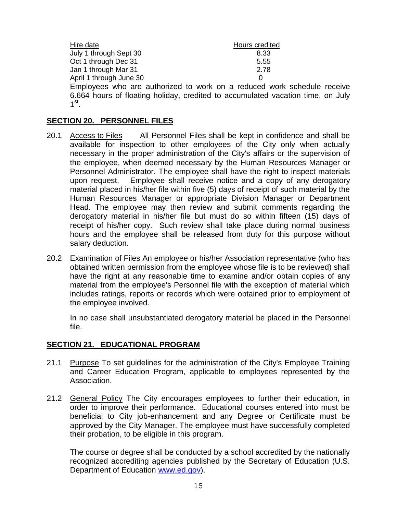| Hire date                                                                                               | Hours credited |
|---------------------------------------------------------------------------------------------------------|----------------|
| July 1 through Sept 30                                                                                  | 8.33           |
| Oct 1 through Dec 31                                                                                    | 5.55           |
| Jan 1 through Mar 31                                                                                    | 2.78           |
| April 1 through June 30                                                                                 | O              |
| والمستورد المستورات والمستندعي والمستورد والسابق المستندع والمرابط والمتناول والمستند المستندا والمستند |                |

Employees who are authorized to work on a reduced work schedule receive 6.664 hours of floating holiday, credited to accumulated vacation time, on July 1 st .

#### **SECTION 20. PERSONNEL FILES**

- 20.1 Access to Files All Personnel Files shall be kept in confidence and shall be available for inspection to other employees of the City only when actually necessary in the proper administration of the City's affairs or the supervision of the employee, when deemed necessary by the Human Resources Manager or Personnel Administrator. The employee shall have the right to inspect materials upon request. Employee shall receive notice and a copy of any derogatory material placed in his/her file within five (5) days of receipt of such material by the Human Resources Manager or appropriate Division Manager or Department Head. The employee may then review and submit comments regarding the derogatory material in his/her file but must do so within fifteen (15) days of receipt of his/her copy. Such review shall take place during normal business hours and the employee shall be released from duty for this purpose without salary deduction.
- 20.2 Examination of Files An employee or his/her Association representative (who has obtained written permission from the employee whose file is to be reviewed) shall have the right at any reasonable time to examine and/or obtain copies of any material from the employee's Personnel file with the exception of material which includes ratings, reports or records which were obtained prior to employment of the employee involved.

In no case shall unsubstantiated derogatory material be placed in the Personnel file.

#### **SECTION 21. EDUCATIONAL PROGRAM**

- 21.1 Purpose To set guidelines for the administration of the City's Employee Training and Career Education Program, applicable to employees represented by the Association.
- 21.2 General Policy The City encourages employees to further their education, in order to improve their performance. Educational courses entered into must be beneficial to City job-enhancement and any Degree or Certificate must be approved by the City Manager. The employee must have successfully completed their probation, to be eligible in this program.

The course or degree shall be conducted by a school accredited by the nationally recognized accrediting agencies published by the Secretary of Education (U.S. Department of Education [www.ed.gov\)](http://www.ed.gov/).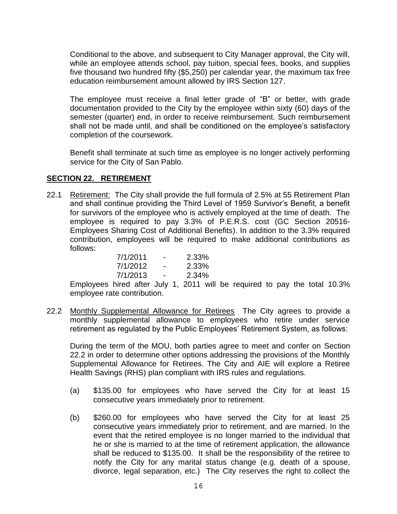Conditional to the above, and subsequent to City Manager approval, the City will, while an employee attends school, pay tuition, special fees, books, and supplies five thousand two hundred fifty (\$5,250) per calendar year, the maximum tax free education reimbursement amount allowed by IRS Section 127.

The employee must receive a final letter grade of "B" or better, with grade documentation provided to the City by the employee within sixty (60) days of the semester (quarter) end, in order to receive reimbursement. Such reimbursement shall not be made until, and shall be conditioned on the employee's satisfactory completion of the coursework.

Benefit shall terminate at such time as employee is no longer actively performing service for the City of San Pablo.

#### **SECTION 22. RETIREMENT**

22.1 Retirement: The City shall provide the full formula of 2.5% at 55 Retirement Plan and shall continue providing the Third Level of 1959 Survivor's Benefit, a benefit for survivors of the employee who is actively employed at the time of death. The employee is required to pay 3.3% of P.E.R.S. cost (GC Section 20516- Employees Sharing Cost of Additional Benefits). In addition to the 3.3% required contribution, employees will be required to make additional contributions as follows:

| 7/1/2011 | - | 2.33% |
|----------|---|-------|
| 7/1/2012 | - | 2.33% |
| 7/1/2013 | - | 2.34% |

Employees hired after July 1, 2011 will be required to pay the total 10.3% employee rate contribution.

22.2 Monthly Supplemental Allowance for Retirees The City agrees to provide a monthly supplemental allowance to employees who retire under service retirement as regulated by the Public Employees' Retirement System, as follows:

During the term of the MOU, both parties agree to meet and confer on Section 22.2 in order to determine other options addressing the provisions of the Monthly Supplemental Allowance for Retirees. The City and AIE will explore a Retiree Health Savings (RHS) plan compliant with IRS rules and regulations.

- (a) \$135.00 for employees who have served the City for at least 15 consecutive years immediately prior to retirement.
- (b) \$260.00 for employees who have served the City for at least 25 consecutive years immediately prior to retirement, and are married. In the event that the retired employee is no longer married to the individual that he or she is married to at the time of retirement application, the allowance shall be reduced to \$135.00. It shall be the responsibility of the retiree to notify the City for any marital status change (e.g. death of a spouse, divorce, legal separation, etc.) The City reserves the right to collect the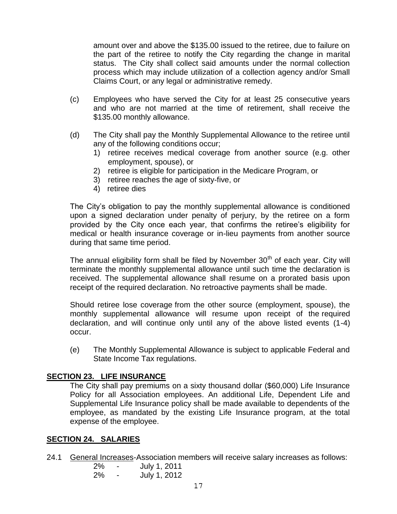amount over and above the \$135.00 issued to the retiree, due to failure on the part of the retiree to notify the City regarding the change in marital status. The City shall collect said amounts under the normal collection process which may include utilization of a collection agency and/or Small Claims Court, or any legal or administrative remedy.

- (c) Employees who have served the City for at least 25 consecutive years and who are not married at the time of retirement, shall receive the \$135.00 monthly allowance.
- (d) The City shall pay the Monthly Supplemental Allowance to the retiree until any of the following conditions occur;
	- 1) retiree receives medical coverage from another source (e.g. other employment, spouse), or
	- 2) retiree is eligible for participation in the Medicare Program, or
	- 3) retiree reaches the age of sixty-five, or
	- 4) retiree dies

The City's obligation to pay the monthly supplemental allowance is conditioned upon a signed declaration under penalty of perjury, by the retiree on a form provided by the City once each year, that confirms the retiree's eligibility for medical or health insurance coverage or in-lieu payments from another source during that same time period.

The annual eligibility form shall be filed by November  $30<sup>th</sup>$  of each year. City will terminate the monthly supplemental allowance until such time the declaration is received. The supplemental allowance shall resume on a prorated basis upon receipt of the required declaration. No retroactive payments shall be made.

Should retiree lose coverage from the other source (employment, spouse), the monthly supplemental allowance will resume upon receipt of the required declaration, and will continue only until any of the above listed events (1-4) occur.

(e) The Monthly Supplemental Allowance is subject to applicable Federal and State Income Tax regulations.

#### **SECTION 23. LIFE INSURANCE**

The City shall pay premiums on a sixty thousand dollar (\$60,000) Life Insurance Policy for all Association employees. An additional Life, Dependent Life and Supplemental Life Insurance policy shall be made available to dependents of the employee, as mandated by the existing Life Insurance program, at the total expense of the employee.

#### **SECTION 24. SALARIES**

24.1 General Increases-Association members will receive salary increases as follows:

| 2% | - | July 1, 2011 |
|----|---|--------------|
| 2% | - | July 1, 2012 |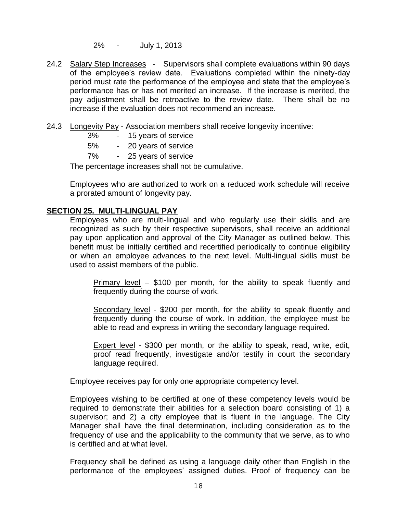2% - July 1, 2013

- 24.2 Salary Step Increases Supervisors shall complete evaluations within 90 days of the employee's review date. Evaluations completed within the ninety-day period must rate the performance of the employee and state that the employee's performance has or has not merited an increase. If the increase is merited, the pay adjustment shall be retroactive to the review date. There shall be no increase if the evaluation does not recommend an increase.
- 24.3 Longevity Pay Association members shall receive longevity incentive:
	- 3% 15 years of service
	- 5% 20 years of service
	- 7% 25 years of service

The percentage increases shall not be cumulative.

Employees who are authorized to work on a reduced work schedule will receive a prorated amount of longevity pay.

#### **SECTION 25. MULTI-LINGUAL PAY**

Employees who are multi-lingual and who regularly use their skills and are recognized as such by their respective supervisors, shall receive an additional pay upon application and approval of the City Manager as outlined below. This benefit must be initially certified and recertified periodically to continue eligibility or when an employee advances to the next level. Multi-lingual skills must be used to assist members of the public.

Primary level – \$100 per month, for the ability to speak fluently and frequently during the course of work.

Secondary level - \$200 per month, for the ability to speak fluently and frequently during the course of work. In addition, the employee must be able to read and express in writing the secondary language required.

Expert level - \$300 per month, or the ability to speak, read, write, edit, proof read frequently, investigate and/or testify in court the secondary language required.

Employee receives pay for only one appropriate competency level.

Employees wishing to be certified at one of these competency levels would be required to demonstrate their abilities for a selection board consisting of 1) a supervisor; and 2) a city employee that is fluent in the language. The City Manager shall have the final determination, including consideration as to the frequency of use and the applicability to the community that we serve, as to who is certified and at what level.

Frequency shall be defined as using a language daily other than English in the performance of the employees' assigned duties. Proof of frequency can be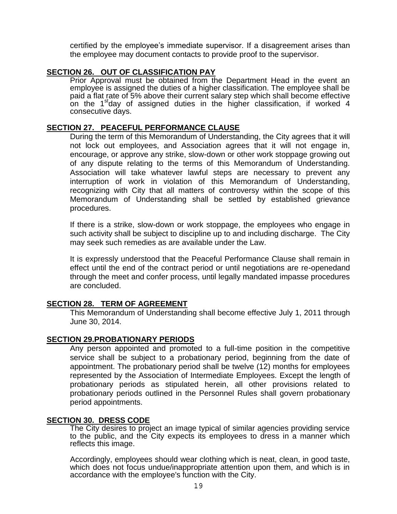certified by the employee's immediate supervisor. If a disagreement arises than the employee may document contacts to provide proof to the supervisor.

### **SECTION 26. OUT OF CLASSIFICATION PAY**

Prior Approval must be obtained from the Department Head in the event an employee is assigned the duties of a higher classification. The employee shall be paid a flat rate of 5% above their current salary step which shall become effective on the 1<sup>st</sup>day of assigned duties in the higher classification, if worked 4 consecutive days.

#### **SECTION 27. PEACEFUL PERFORMANCE CLAUSE**

During the term of this Memorandum of Understanding, the City agrees that it will not lock out employees, and Association agrees that it will not engage in, encourage, or approve any strike, slow-down or other work stoppage growing out of any dispute relating to the terms of this Memorandum of Understanding. Association will take whatever lawful steps are necessary to prevent any interruption of work in violation of this Memorandum of Understanding, recognizing with City that all matters of controversy within the scope of this Memorandum of Understanding shall be settled by established grievance procedures.

If there is a strike, slow-down or work stoppage, the employees who engage in such activity shall be subject to discipline up to and including discharge. The City may seek such remedies as are available under the Law.

It is expressly understood that the Peaceful Performance Clause shall remain in effect until the end of the contract period or until negotiations are re-openedand through the meet and confer process, until legally mandated impasse procedures are concluded.

#### **SECTION 28. TERM OF AGREEMENT**

This Memorandum of Understanding shall become effective July 1, 2011 through June 30, 2014.

#### **SECTION 29.PROBATIONARY PERIODS**

Any person appointed and promoted to a full-time position in the competitive service shall be subject to a probationary period, beginning from the date of appointment. The probationary period shall be twelve (12) months for employees represented by the Association of Intermediate Employees. Except the length of probationary periods as stipulated herein, all other provisions related to probationary periods outlined in the Personnel Rules shall govern probationary period appointments.

#### **SECTION 30. DRESS CODE**

The City desires to project an image typical of similar agencies providing service to the public, and the City expects its employees to dress in a manner which reflects this image.

Accordingly, employees should wear clothing which is neat, clean, in good taste, which does not focus undue/inappropriate attention upon them, and which is in accordance with the employee's function with the City.